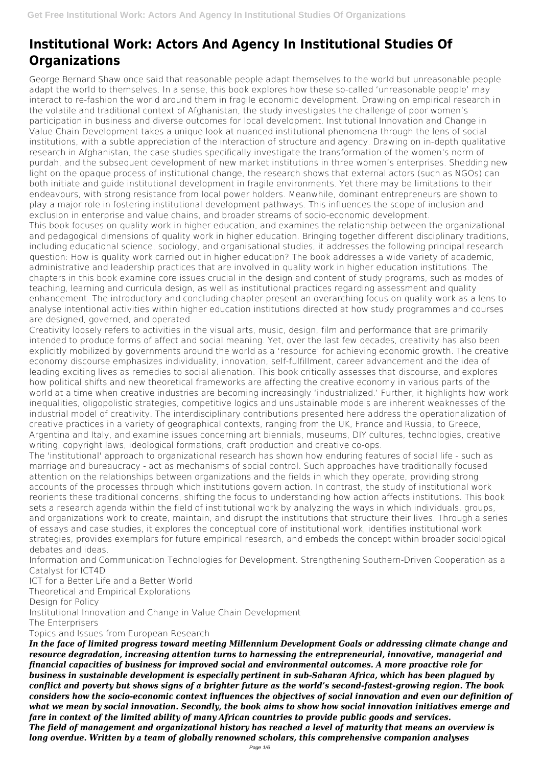# **Institutional Work: Actors And Agency In Institutional Studies Of Organizations**

George Bernard Shaw once said that reasonable people adapt themselves to the world but unreasonable people adapt the world to themselves. In a sense, this book explores how these so-called 'unreasonable people' may interact to re-fashion the world around them in fragile economic development. Drawing on empirical research in the volatile and traditional context of Afghanistan, the study investigates the challenge of poor women's participation in business and diverse outcomes for local development. Institutional Innovation and Change in Value Chain Development takes a unique look at nuanced institutional phenomena through the lens of social institutions, with a subtle appreciation of the interaction of structure and agency. Drawing on in-depth qualitative research in Afghanistan, the case studies specifically investigate the transformation of the women's norm of purdah, and the subsequent development of new market institutions in three women's enterprises. Shedding new light on the opaque process of institutional change, the research shows that external actors (such as NGOs) can both initiate and guide institutional development in fragile environments. Yet there may be limitations to their endeavours, with strong resistance from local power holders. Meanwhile, dominant entrepreneurs are shown to play a major role in fostering institutional development pathways. This influences the scope of inclusion and exclusion in enterprise and value chains, and broader streams of socio-economic development. This book focuses on quality work in higher education, and examines the relationship between the organizational and pedagogical dimensions of quality work in higher education. Bringing together different disciplinary traditions, including educational science, sociology, and organisational studies, it addresses the following principal research question: How is quality work carried out in higher education? The book addresses a wide variety of academic, administrative and leadership practices that are involved in quality work in higher education institutions. The chapters in this book examine core issues crucial in the design and content of study programs, such as modes of teaching, learning and curricula design, as well as institutional practices regarding assessment and quality enhancement. The introductory and concluding chapter present an overarching focus on quality work as a lens to analyse intentional activities within higher education institutions directed at how study programmes and courses are designed, governed, and operated.

Creativity loosely refers to activities in the visual arts, music, design, film and performance that are primarily intended to produce forms of affect and social meaning. Yet, over the last few decades, creativity has also been explicitly mobilized by governments around the world as a 'resource' for achieving economic growth. The creative economy discourse emphasizes individuality, innovation, self-fulfillment, career advancement and the idea of leading exciting lives as remedies to social alienation. This book critically assesses that discourse, and explores how political shifts and new theoretical frameworks are affecting the creative economy in various parts of the world at a time when creative industries are becoming increasingly 'industrialized.' Further, it highlights how work inequalities, oligopolistic strategies, competitive logics and unsustainable models are inherent weaknesses of the industrial model of creativity. The interdisciplinary contributions presented here address the operationalization of creative practices in a variety of geographical contexts, ranging from the UK, France and Russia, to Greece, Argentina and Italy, and examine issues concerning art biennials, museums, DIY cultures, technologies, creative writing, copyright laws, ideological formations, craft production and creative co-ops.

The 'institutional' approach to organizational research has shown how enduring features of social life - such as marriage and bureaucracy - act as mechanisms of social control. Such approaches have traditionally focused attention on the relationships between organizations and the fields in which they operate, providing strong accounts of the processes through which institutions govern action. In contrast, the study of institutional work reorients these traditional concerns, shifting the focus to understanding how action affects institutions. This book sets a research agenda within the field of institutional work by analyzing the ways in which individuals, groups, and organizations work to create, maintain, and disrupt the institutions that structure their lives. Through a series of essays and case studies, it explores the conceptual core of institutional work, identifies institutional work strategies, provides exemplars for future empirical research, and embeds the concept within broader sociological debates and ideas.

Information and Communication Technologies for Development. Strengthening Southern-Driven Cooperation as a Catalyst for ICT4D

ICT for a Better Life and a Better World Theoretical and Empirical Explorations Design for Policy Institutional Innovation and Change in Value Chain Development The Enterprisers Topics and Issues from European Research

*In the face of limited progress toward meeting Millennium Development Goals or addressing climate change and resource degradation, increasing attention turns to harnessing the entrepreneurial, innovative, managerial and financial capacities of business for improved social and environmental outcomes. A more proactive role for business in sustainable development is especially pertinent in sub-Saharan Africa, which has been plagued by conflict and poverty but shows signs of a brighter future as the world's second-fastest-growing region. The book considers how the socio-economic context influences the objectives of social innovation and even our definition of what we mean by social innovation. Secondly, the book aims to show how social innovation initiatives emerge and fare in context of the limited ability of many African countries to provide public goods and services. The field of management and organizational history has reached a level of maturity that means an overview is long overdue. Written by a team of globally renowned scholars, this comprehensive companion analyses*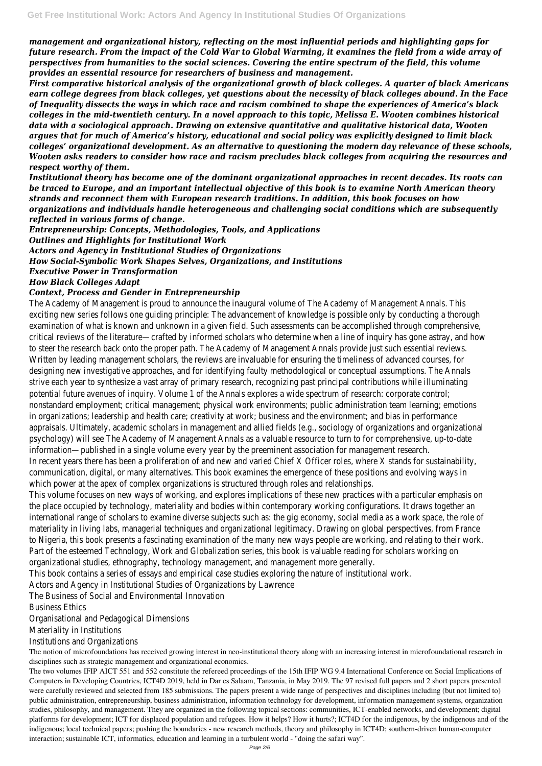*management and organizational history, reflecting on the most influential periods and highlighting gaps for future research. From the impact of the Cold War to Global Warming, it examines the field from a wide array of perspectives from humanities to the social sciences. Covering the entire spectrum of the field, this volume provides an essential resource for researchers of business and management.*

*First comparative historical analysis of the organizational growth of black colleges. A quarter of black Americans earn college degrees from black colleges, yet questions about the necessity of black colleges abound. In the Face of Inequality dissects the ways in which race and racism combined to shape the experiences of America's black colleges in the mid-twentieth century. In a novel approach to this topic, Melissa E. Wooten combines historical data with a sociological approach. Drawing on extensive quantitative and qualitative historical data, Wooten argues that for much of America's history, educational and social policy was explicitly designed to limit black colleges' organizational development. As an alternative to questioning the modern day relevance of these schools, Wooten asks readers to consider how race and racism precludes black colleges from acquiring the resources and respect worthy of them.*

*Institutional theory has become one of the dominant organizational approaches in recent decades. Its roots can be traced to Europe, and an important intellectual objective of this book is to examine North American theory strands and reconnect them with European research traditions. In addition, this book focuses on how organizations and individuals handle heterogeneous and challenging social conditions which are subsequently reflected in various forms of change.*

*Entrepreneurship: Concepts, Methodologies, Tools, and Applications*

*Outlines and Highlights for Institutional Work*

*Actors and Agency in Institutional Studies of Organizations*

*How Social-Symbolic Work Shapes Selves, Organizations, and Institutions*

*Executive Power in Transformation*

### *How Black Colleges Adapt*

### *Context, Process and Gender in Entrepreneurship*

The Academy of Management is proud to announce the inaugural exciting new series follows one guiding principle: The advancement only by exciting a thorough  $\alpha$ examination of what is known and unknown in a given field. Such as critical reviews of the literature—crafted by informed scholars who determine  $\alpha$ to steer the research back onto the proper path. The Academy of I Written by leading management scholars, the reviews are invaluab designing new investigative approaches, and for identifying faulty strive each year to synthesize a vast array of primary research, re potential future avenues of inquiry. Volume 1 of the Annals explores a video nonstandard employment; critical management; physical work environments; public administration team in in organizations; leadership and health care; creativity at work; but appraisals. Ultimately, academic scholars in management and allied field psychology) will see The Academy of Management Annals as a valua information—published in a single volume every year by the  $p$ In recent years there has been a proliferation of and new and varied In recent communication, digital, or many alternatives. This book examines the emergence of the emergence positions and  $n$ which power at the apex of complex organizations is This volume focuses on new ways of working, and explores implications of these new vays of working, and explores implications  $\overline{\phantom{a}}$ the place occupied by technology, materiality and bodies within con international range of scholars to examine diverse subjects such as: the international mange of scholars to examine diverse subjects such as: the role of materiality in living labs, managerial techniques and organizational legitimates. Drawing on global perspective to Nigeria, this book presents a fascinating examination of the many Part of the esteemed Technology, Work and Globalization series, organizational studies, ethnography, technology management This book contains a series of essays and empirical case sto

Actors and Agency in Institutional Studi The Business of Social and En **Business** Organisational and Peda Materiality in Institutions and

The notion of microfoundations has received growing interest in neo-institutional theory along with an increasing interest in microfoundational research in disciplines such as strategic management and organizational economics.

The two volumes IFIP AICT 551 and 552 constitute the refereed proceedings of the 15th IFIP WG 9.4 International Conference on Social Implications of Computers in Developing Countries, ICT4D 2019, held in Dar es Salaam, Tanzania, in May 2019. The 97 revised full papers and 2 short papers presented were carefully reviewed and selected from 185 submissions. The papers present a wide range of perspectives and disciplines including (but not limited to) public administration, entrepreneurship, business administration, information technology for development, information management systems, organization studies, philosophy, and management. They are organized in the following topical sections: communities, ICT-enabled networks, and development; digital platforms for development; ICT for displaced population and refugees. How it helps? How it hurts?; ICT4D for the indigenous, by the indigenous and of the indigenous; local technical papers; pushing the boundaries - new research methods, theory and philosophy in ICT4D; southern-driven human-computer interaction; sustainable ICT, informatics, education and learning in a turbulent world - "doing the safari way".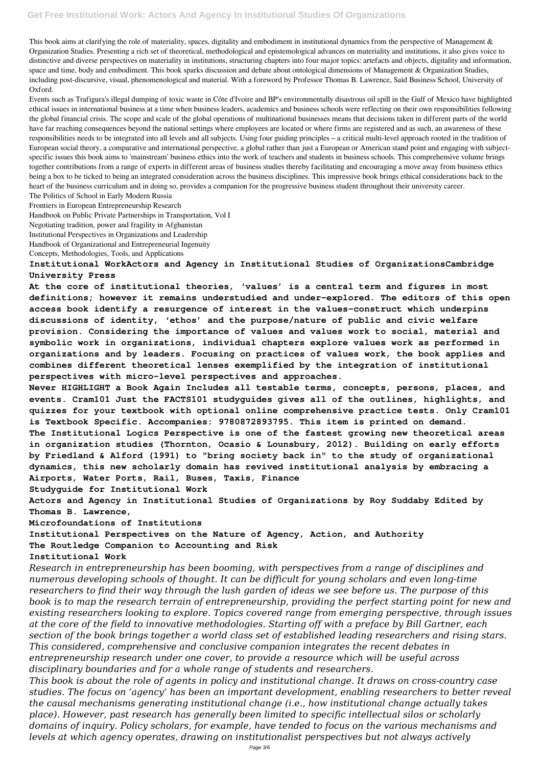This book aims at clarifying the role of materiality, spaces, digitality and embodiment in institutional dynamics from the perspective of Management & Organization Studies. Presenting a rich set of theoretical, methodological and epistemological advances on materiality and institutions, it also gives voice to distinctive and diverse perspectives on materiality in institutions, structuring chapters into four major topics: artefacts and objects, digitality and information, space and time, body and embodiment. This book sparks discussion and debate about ontological dimensions of Management & Organization Studies, including post-discursive, visual, phenomenological and material. With a foreword by Professor Thomas B. Lawrence, Saïd Business School, University of Oxford.

Events such as Trafigura's illegal dumping of toxic waste in Côte d'Ivoire and BP's environmentally disastrous oil spill in the Gulf of Mexico have highlighted ethical issues in international business at a time when business leaders, academics and business schools were reflecting on their own responsibilities following the global financial crisis. The scope and scale of the global operations of multinational businesses means that decisions taken in different parts of the world have far reaching consequences beyond the national settings where employees are located or where firms are registered and as such, an awareness of these responsibilities needs to be integrated into all levels and all subjects. Using four guiding principles – a critical multi-level approach rooted in the tradition of European social theory, a comparative and international perspective, a global rather than just a European or American stand point and engaging with subjectspecific issues this book aims to 'mainstream' business ethics into the work of teachers and students in business schools. This comprehensive volume brings together contributions from a range of experts in different areas of business studies thereby facilitating and encouraging a move away from business ethics being a box to be ticked to being an integrated consideration across the business disciplines. This impressive book brings ethical considerations back to the heart of the business curriculum and in doing so, provides a companion for the progressive business student throughout their university career.

The Politics of School in Early Modern Russia Frontiers in European Entrepreneurship Research Handbook on Public Private Partnerships in Transportation, Vol I Negotiating tradition, power and fragility in Afghanistan Institutional Perspectives in Organizations and Leadership Handbook of Organizational and Entrepreneurial Ingenuity Concepts, Methodologies, Tools, and Applications

### **Institutional WorkActors and Agency in Institutional Studies of OrganizationsCambridge University Press**

**At the core of institutional theories, 'values' is a central term and figures in most definitions; however it remains understudied and under-explored. The editors of this open access book identify a resurgence of interest in the values-construct which underpins discussions of identity, 'ethos' and the purpose/nature of public and civic welfare provision. Considering the importance of values and values work to social, material and symbolic work in organizations, individual chapters explore values work as performed in organizations and by leaders. Focusing on practices of values work, the book applies and combines different theoretical lenses exemplified by the integration of institutional perspectives with micro-level perspectives and approaches.**

**Never HIGHLIGHT a Book Again Includes all testable terms, concepts, persons, places, and events. Cram101 Just the FACTS101 studyguides gives all of the outlines, highlights, and quizzes for your textbook with optional online comprehensive practice tests. Only Cram101 is Textbook Specific. Accompanies: 9780872893795. This item is printed on demand. The Institutional Logics Perspective is one of the fastest growing new theoretical areas in organization studies (Thornton, Ocasio & Lounsbury, 2012). Building on early efforts by Friedland & Alford (1991) to "bring society back in" to the study of organizational dynamics, this new scholarly domain has revived institutional analysis by embracing a Airports, Water Ports, Rail, Buses, Taxis, Finance**

**Studyguide for Institutional Work**

**Actors and Agency in Institutional Studies of Organizations by Roy Suddaby Edited by Thomas B. Lawrence,**

**Microfoundations of Institutions**

**Institutional Perspectives on the Nature of Agency, Action, and Authority The Routledge Companion to Accounting and Risk**

**Institutional Work**

*Research in entrepreneurship has been booming, with perspectives from a range of disciplines and numerous developing schools of thought. It can be difficult for young scholars and even long-time researchers to find their way through the lush garden of ideas we see before us. The purpose of this book is to map the research terrain of entrepreneurship, providing the perfect starting point for new and existing researchers looking to explore. Topics covered range from emerging perspective, through issues at the core of the field to innovative methodologies. Starting off with a preface by Bill Gartner, each section of the book brings together a world class set of established leading researchers and rising stars. This considered, comprehensive and conclusive companion integrates the recent debates in entrepreneurship research under one cover, to provide a resource which will be useful across disciplinary boundaries and for a whole range of students and researchers. This book is about the role of agents in policy and institutional change. It draws on cross-country case studies. The focus on 'agency' has been an important development, enabling researchers to better reveal the causal mechanisms generating institutional change (i.e., how institutional change actually takes place). However, past research has generally been limited to specific intellectual silos or scholarly domains of inquiry. Policy scholars, for example, have tended to focus on the various mechanisms and levels at which agency operates, drawing on institutionalist perspectives but not always actively*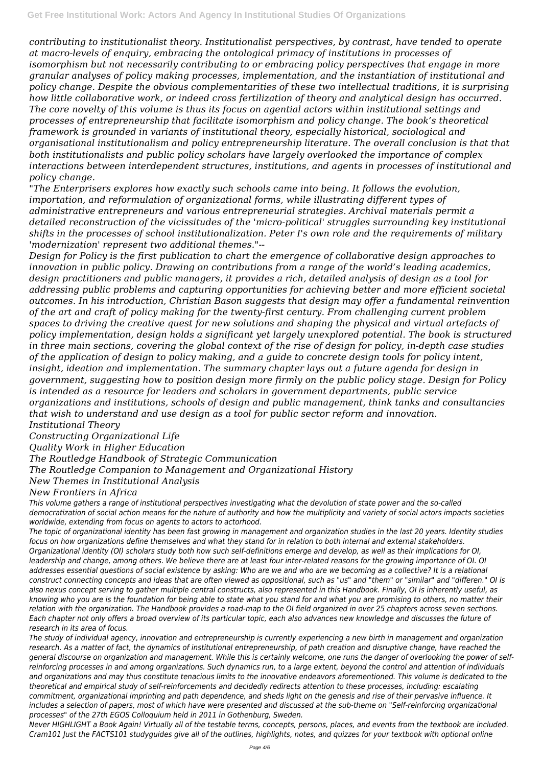*contributing to institutionalist theory. Institutionalist perspectives, by contrast, have tended to operate at macro-levels of enquiry, embracing the ontological primacy of institutions in processes of isomorphism but not necessarily contributing to or embracing policy perspectives that engage in more granular analyses of policy making processes, implementation, and the instantiation of institutional and policy change. Despite the obvious complementarities of these two intellectual traditions, it is surprising how little collaborative work, or indeed cross fertilization of theory and analytical design has occurred. The core novelty of this volume is thus its focus on agential actors within institutional settings and processes of entrepreneurship that facilitate isomorphism and policy change. The book's theoretical framework is grounded in variants of institutional theory, especially historical, sociological and organisational institutionalism and policy entrepreneurship literature. The overall conclusion is that that both institutionalists and public policy scholars have largely overlooked the importance of complex interactions between interdependent structures, institutions, and agents in processes of institutional and policy change.*

*"The Enterprisers explores how exactly such schools came into being. It follows the evolution, importation, and reformulation of organizational forms, while illustrating different types of administrative entrepreneurs and various entrepreneurial strategies. Archival materials permit a detailed reconstruction of the vicissitudes of the 'micro-political' struggles surrounding key institutional shifts in the processes of school institutionalization. Peter I's own role and the requirements of military 'modernization' represent two additional themes."--*

*Design for Policy is the first publication to chart the emergence of collaborative design approaches to innovation in public policy. Drawing on contributions from a range of the world's leading academics, design practitioners and public managers, it provides a rich, detailed analysis of design as a tool for addressing public problems and capturing opportunities for achieving better and more efficient societal outcomes. In his introduction, Christian Bason suggests that design may offer a fundamental reinvention of the art and craft of policy making for the twenty-first century. From challenging current problem spaces to driving the creative quest for new solutions and shaping the physical and virtual artefacts of policy implementation, design holds a significant yet largely unexplored potential. The book is structured in three main sections, covering the global context of the rise of design for policy, in-depth case studies of the application of design to policy making, and a guide to concrete design tools for policy intent, insight, ideation and implementation. The summary chapter lays out a future agenda for design in government, suggesting how to position design more firmly on the public policy stage. Design for Policy is intended as a resource for leaders and scholars in government departments, public service organizations and institutions, schools of design and public management, think tanks and consultancies that wish to understand and use design as a tool for public sector reform and innovation. Institutional Theory*

*Constructing Organizational Life*

*Quality Work in Higher Education*

*The Routledge Handbook of Strategic Communication*

*The Routledge Companion to Management and Organizational History*

*New Themes in Institutional Analysis*

*New Frontiers in Africa*

*This volume gathers a range of institutional perspectives investigating what the devolution of state power and the so-called democratization of social action means for the nature of authority and how the multiplicity and variety of social actors impacts societies worldwide, extending from focus on agents to actors to actorhood.*

*The topic of organizational identity has been fast growing in management and organization studies in the last 20 years. Identity studies focus on how organizations define themselves and what they stand for in relation to both internal and external stakeholders. Organizational identity (OI) scholars study both how such self-definitions emerge and develop, as well as their implications for OI, leadership and change, among others. We believe there are at least four inter-related reasons for the growing importance of OI. OI addresses essential questions of social existence by asking: Who are we and who are we becoming as a collective? It is a relational construct connecting concepts and ideas that are often viewed as oppositional, such as "us" and "them" or "similar" and "differen." OI is also nexus concept serving to gather multiple central constructs, also represented in this Handbook. Finally, OI is inherently useful, as knowing who you are is the foundation for being able to state what you stand for and what you are promising to others, no matter their relation with the organization. The Handbook provides a road-map to the OI field organized in over 25 chapters across seven sections. Each chapter not only offers a broad overview of its particular topic, each also advances new knowledge and discusses the future of research in its area of focus. The study of individual agency, innovation and entrepreneurship is currently experiencing a new birth in management and organization research. As a matter of fact, the dynamics of institutional entrepreneurship, of path creation and disruptive change, have reached the general discourse on organization and management. While this is certainly welcome, one runs the danger of overlooking the power of selfreinforcing processes in and among organizations. Such dynamics run, to a large extent, beyond the control and attention of individuals and organizations and may thus constitute tenacious limits to the innovative endeavors aforementioned. This volume is dedicated to the theoretical and empirical study of self-reinforcements and decidedly redirects attention to these processes, including: escalating commitment, organizational imprinting and path dependence, and sheds light on the genesis and rise of their pervasive influence. It includes a selection of papers, most of which have were presented and discussed at the sub-theme on "Self-reinforcing organizational processes" of the 27th EGOS Colloquium held in 2011 in Gothenburg, Sweden. Never HIGHLIGHT a Book Again! Virtually all of the testable terms, concepts, persons, places, and events from the textbook are included. Cram101 Just the FACTS101 studyguides give all of the outlines, highlights, notes, and quizzes for your textbook with optional online*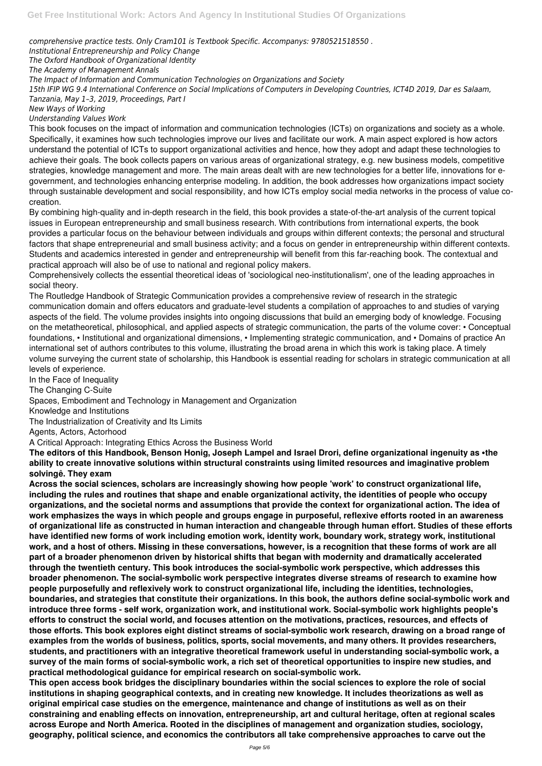*comprehensive practice tests. Only Cram101 is Textbook Specific. Accompanys: 9780521518550 .*

*Institutional Entrepreneurship and Policy Change*

*The Oxford Handbook of Organizational Identity*

*The Academy of Management Annals*

*The Impact of Information and Communication Technologies on Organizations and Society*

*15th IFIP WG 9.4 International Conference on Social Implications of Computers in Developing Countries, ICT4D 2019, Dar es Salaam, Tanzania, May 1–3, 2019, Proceedings, Part I*

*New Ways of Working*

*Understanding Values Work*

This book focuses on the impact of information and communication technologies (ICTs) on organizations and society as a whole. Specifically, it examines how such technologies improve our lives and facilitate our work. A main aspect explored is how actors understand the potential of ICTs to support organizational activities and hence, how they adopt and adapt these technologies to achieve their goals. The book collects papers on various areas of organizational strategy, e.g. new business models, competitive strategies, knowledge management and more. The main areas dealt with are new technologies for a better life, innovations for egovernment, and technologies enhancing enterprise modeling. In addition, the book addresses how organizations impact society through sustainable development and social responsibility, and how ICTs employ social media networks in the process of value cocreation.

By combining high-quality and in-depth research in the field, this book provides a state-of-the-art analysis of the current topical issues in European entrepreneurship and small business research. With contributions from international experts, the book provides a particular focus on the behaviour between individuals and groups within different contexts; the personal and structural factors that shape entrepreneurial and small business activity; and a focus on gender in entrepreneurship within different contexts. Students and academics interested in gender and entrepreneurship will benefit from this far-reaching book. The contextual and practical approach will also be of use to national and regional policy makers.

Comprehensively collects the essential theoretical ideas of 'sociological neo-institutionalism', one of the leading approaches in social theory.

The Routledge Handbook of Strategic Communication provides a comprehensive review of research in the strategic communication domain and offers educators and graduate-level students a compilation of approaches to and studies of varying aspects of the field. The volume provides insights into ongoing discussions that build an emerging body of knowledge. Focusing on the metatheoretical, philosophical, and applied aspects of strategic communication, the parts of the volume cover: • Conceptual foundations, • Institutional and organizational dimensions, • Implementing strategic communication, and • Domains of practice An international set of authors contributes to this volume, illustrating the broad arena in which this work is taking place. A timely volume surveying the current state of scholarship, this Handbook is essential reading for scholars in strategic communication at all levels of experience.

In the Face of Inequality

The Changing C-Suite

Spaces, Embodiment and Technology in Management and Organization

Knowledge and Institutions

The Industrialization of Creativity and Its Limits

Agents, Actors, Actorhood

A Critical Approach: Integrating Ethics Across the Business World

**The editors of this Handbook, Benson Honig, Joseph Lampel and Israel Drori, define organizational ingenuity as •the ability to create innovative solutions within structural constraints using limited resources and imaginative problem solvingê. They exam**

**Across the social sciences, scholars are increasingly showing how people 'work' to construct organizational life, including the rules and routines that shape and enable organizational activity, the identities of people who occupy organizations, and the societal norms and assumptions that provide the context for organizational action. The idea of work emphasizes the ways in which people and groups engage in purposeful, reflexive efforts rooted in an awareness of organizational life as constructed in human interaction and changeable through human effort. Studies of these efforts have identified new forms of work including emotion work, identity work, boundary work, strategy work, institutional work, and a host of others. Missing in these conversations, however, is a recognition that these forms of work are all part of a broader phenomenon driven by historical shifts that began with modernity and dramatically accelerated through the twentieth century. This book introduces the social-symbolic work perspective, which addresses this broader phenomenon. The social-symbolic work perspective integrates diverse streams of research to examine how people purposefully and reflexively work to construct organizational life, including the identities, technologies, boundaries, and strategies that constitute their organizations. In this book, the authors define social-symbolic work and introduce three forms - self work, organization work, and institutional work. Social-symbolic work highlights people's efforts to construct the social world, and focuses attention on the motivations, practices, resources, and effects of those efforts. This book explores eight distinct streams of social-symbolic work research, drawing on a broad range of examples from the worlds of business, politics, sports, social movements, and many others. It provides researchers, students, and practitioners with an integrative theoretical framework useful in understanding social-symbolic work, a survey of the main forms of social-symbolic work, a rich set of theoretical opportunities to inspire new studies, and practical methodological guidance for empirical research on social-symbolic work. This open access book bridges the disciplinary boundaries within the social sciences to explore the role of social institutions in shaping geographical contexts, and in creating new knowledge. It includes theorizations as well as original empirical case studies on the emergence, maintenance and change of institutions as well as on their constraining and enabling effects on innovation, entrepreneurship, art and cultural heritage, often at regional scales across Europe and North America. Rooted in the disciplines of management and organization studies, sociology, geography, political science, and economics the contributors all take comprehensive approaches to carve out the**